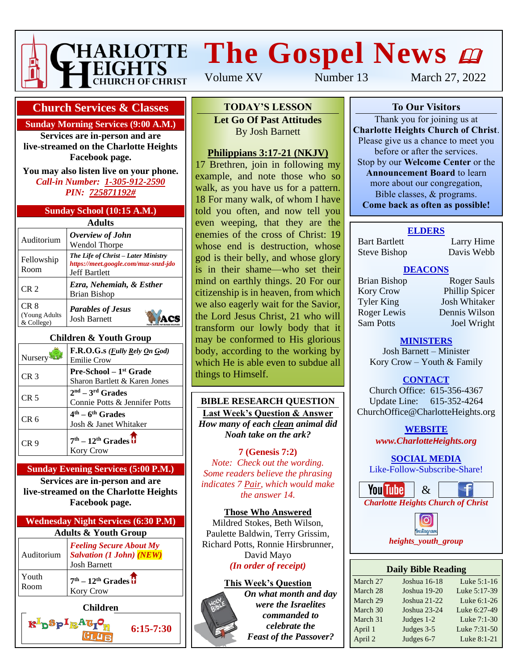

# **The Gospel News**  $\boldsymbol{\omega}$

Volume XV Number 13 March 27, 2022

## **Church Services & Classes**

#### **Sunday Morning Services (9:00 A.M.)**

**Services are in-person and are live-streamed on the Charlotte Heights Facebook page.**

**You may also listen live on your phone.** *Call-in Number: 1-305-912-2590 PIN: 725871192#*

#### **Sunday School (10:15 A.M.)**

| Adults                                          |                                                                                                     |  |  |  |  |  |
|-------------------------------------------------|-----------------------------------------------------------------------------------------------------|--|--|--|--|--|
| Auditorium                                      | Overview of John<br><b>Wendol Thorpe</b>                                                            |  |  |  |  |  |
| Fellowship<br>Room                              | The Life of Christ – Later Ministry<br>https://meet.google.com/muz-snzd-jdo<br><b>Jeff Bartlett</b> |  |  |  |  |  |
| CR <sub>2</sub>                                 | Ezra, Nehemiah, & Esther<br><b>Brian Bishop</b>                                                     |  |  |  |  |  |
| CR <sub>8</sub><br>(Young Adults)<br>& College) | <b>Parables of Jesus</b><br><b>Josh Barnett</b>                                                     |  |  |  |  |  |

#### **Children & Youth Group**

| Nursery         | F.R.O.G.s ( <i>Fully Rely On God</i> )<br>Emilie Crow               |
|-----------------|---------------------------------------------------------------------|
| CR <sub>3</sub> | Pre-School - 1 <sup>st</sup> Grade<br>Sharon Bartlett & Karen Jones |
| CR <sub>5</sub> | $2nd - 3rd$ Grades<br>Connie Potts & Jennifer Potts                 |
| CR 6            | $4th - 6th$ Grades<br>Josh & Janet Whitaker                         |
| CR 9            | $7th - 12th$ Grades $\overline{U}$<br><b>Kory Crow</b>              |

#### **Sunday Evening Services (5:00 P.M.)**

**Services are in-person and are live-streamed on the Charlotte Heights Facebook page.**



 $GL$ **UR** 

**6:15-7:30**

# **To Our Visitors TODAY'S LESSON**

**Let Go Of Past Attitudes Charlotte Heights Christian Barnett** Please give us a chance to meet you

## **Philippians 3:17-21 (NKJV)**

17 Brethren, join in following my example, and note those who so mantager, and note also who see walk, as you have as for a pattern.<br>18 For many walk, of whom I have **Come back as often as possible!** told you often, and now tell you even weeping, that they are the enemies of the cross of Christ: 19 whose end is destruction, whose god is their belly, and whose glory is in their shame—who set their mind on earthly things. 20 For our citizenship is in heaven, from which we also eagerly wait for the Savior, the Lord Jesus Christ, 21 who will transform our lowly body that it may be conformed to His glorious body, according to the working by which He is able even to subdue all things to Himself.

#### **BIBLE RESEARCH QUESTION Last Week's Question & Answer** *How many of each clean animal did Noah take on the ark?*

#### **7 (Genesis 7:2)** *Note: Check out the wording. Some readers believe the phrasing indicates 7 Pair, which would make the answer 14.*

**Those Who Answered** Mildred Stokes, Beth Wilson, Paulette Baldwin, Terry Grissim, Richard Potts, Ronnie Hirsbrunner, David Mayo *(In order of receipt)*

## **This Week's Question**



*On what month and day were the Israelites commanded to celebrate the Feast of the Passover?*

### **To Our Visitors**

Thank you for joining us at **Charlotte Heights Church of Christ**. Please give us a chance to meet you before or after the services. Stop by our **Welcome Center** or the **Announcement Board** to learn more about our congregation, Bible classes, & programs. **Come back as often as possible!**

#### **ELDERS**

Bart Bartlett Larry Hime Steve Bishop Davis Webb

## **DEACONS**

Kory Crow Phillip Spicer Tyler King Josh Whitaker Roger Lewis Dennis Wilson Sam Potts Joel Wright

Brian Bishop Roger Sauls

#### **MINISTERS**

Josh Barnett – Minister Kory Crow – Youth & Family

**CONTACT**

Church Office: 615-356-4367 Update Line: 615-352-4264 ChurchOffice@CharlotteHeights.org

**WEBSITE**

**Media Postings** *www.CharlotteHeights.org*

# **SOCIAL MEDIA**

Like-Follow-Subscribe-Share!



**Daily Bible Reading** • Wednesday Adult Bible Study *heights\_youth\_group*

| Dally Bible Reading |              |              |  |  |  |  |
|---------------------|--------------|--------------|--|--|--|--|
| March 27            | Joshua 16-18 | Luke 5:1-16  |  |  |  |  |
| March 28            | Joshua 19-20 | Luke 5:17-39 |  |  |  |  |
| March 29            | Joshua 21-22 | Luke 6:1-26  |  |  |  |  |
| March 30            | Joshua 23-24 | Luke 6:27-49 |  |  |  |  |
| March 31            | Judges 1-2   | Luke 7:1-30  |  |  |  |  |
| April 1             | Judges 3-5   | Luke 7:31-50 |  |  |  |  |
| April 2             | Judges 6-7   | Luke 8:1-21  |  |  |  |  |
|                     |              |              |  |  |  |  |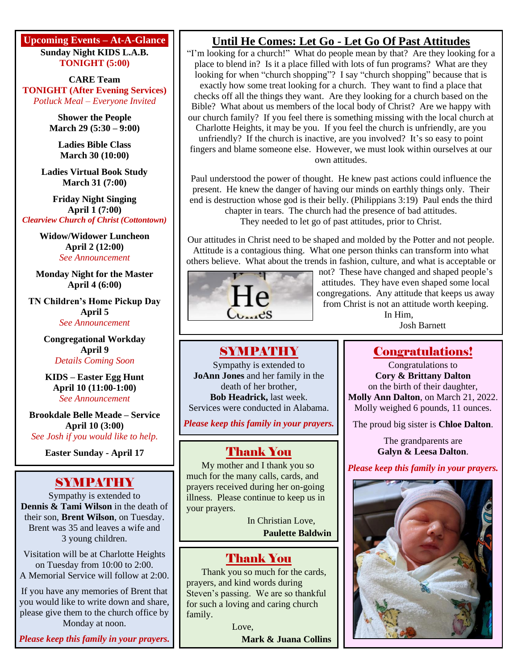#### **Upcoming Events – At-A-Glance Sunday Night KIDS L.A.B. TONIGHT (5:00)**

**CARE Team TONIGHT (After Evening Services)** *Potluck Meal – Everyone Invited*

> **Shower the People March 29 (5:30 – 9:00)**

**Ladies Bible Class March 30 (10:00)**

**Ladies Virtual Book Study March 31 (7:00)**

**Friday Night Singing April 1 (7:00)** *Clearview Church of Christ (Cottontown)*

> **Widow/Widower Luncheon April 2 (12:00)** *See Announcement*

**Monday Night for the Master April 4 (6:00)**

**TN Children's Home Pickup Day April 5** *See Announcement*

> **Congregational Workday April 9** *Details Coming Soon*

**KIDS – Easter Egg Hunt April 10 (11:00-1:00)** *See Announcement*

**Brookdale Belle Meade – Service April 10 (3:00)** *See Josh if you would like to help.*

**Easter Sunday - April 17**

## SYMPATHY

Sympathy is extended to **Dennis & Tami Wilson** in the death of their son, **Brent Wilson**, on Tuesday. Brent was 35 and leaves a wife and 3 young children.

Visitation will be at Charlotte Heights on Tuesday from 10:00 to 2:00. A Memorial Service will follow at 2:00.

If you have any memories of Brent that you would like to write down and share, please give them to the church office by Monday at noon.

*Please keep this family in your prayers.*

# **Until He Comes: Let Go - Let Go Of Past Attitudes**

"I'm looking for a church!" What do people mean by that? Are they looking for a place to blend in? Is it a place filled with lots of fun programs? What are they looking for when "church shopping"? I say "church shopping" because that is exactly how some treat looking for a church. They want to find a place that checks off all the things they want. Are they looking for a church based on the Bible? What about us members of the local body of Christ? Are we happy with our church family? If you feel there is something missing with the local church at Charlotte Heights, it may be you. If you feel the church is unfriendly, are you unfriendly? If the church is inactive, are you involved? It's so easy to point fingers and blame someone else. However, we must look within ourselves at our own attitudes.

Paul understood the power of thought. He knew past actions could influence the present. He knew the danger of having our minds on earthly things only. Their end is destruction whose god is their belly. (Philippians 3:19) Paul ends the third chapter in tears. The church had the presence of bad attitudes. They needed to let go of past attitudes, prior to Christ.

Our attitudes in Christ need to be shaped and molded by the Potter and not people. Attitude is a contagious thing. What one person thinks can transform into what others believe. What about the trends in fashion, culture, and what is acceptable or



not? These have changed and shaped people's attitudes. They have even shaped some local congregations. Any attitude that keeps us away from Christ is not an attitude worth keeping.

In Him, Josh Barnett

# SYMPATHY

Sympathy is extended to **JoAnn Jones** and her family in the death of her brother, **Bob Headrick,** last week. Services were conducted in Alabama.

*Please keep this family in your prayers.*

## Thank You

My mother and I thank you so much for the many calls, cards, and prayers received during her on-going illness. Please continue to keep us in your prayers.

> In Christian Love, **Paulette Baldwin**

## Thank You

Thank you so much for the cards, prayers, and kind words during Steven's passing. We are so thankful for such a loving and caring church family.

> Love, **Mark & Juana Collins**

# Congratulations!

Congratulations to **Cory & Brittany Dalton** on the birth of their daughter, **Molly Ann Dalton**, on March 21, 2022. Molly weighed 6 pounds, 11 ounces.

The proud big sister is **Chloe Dalton**.

The grandparents are **Galyn & Leesa Dalton**.

*Please keep this family in your prayers.*

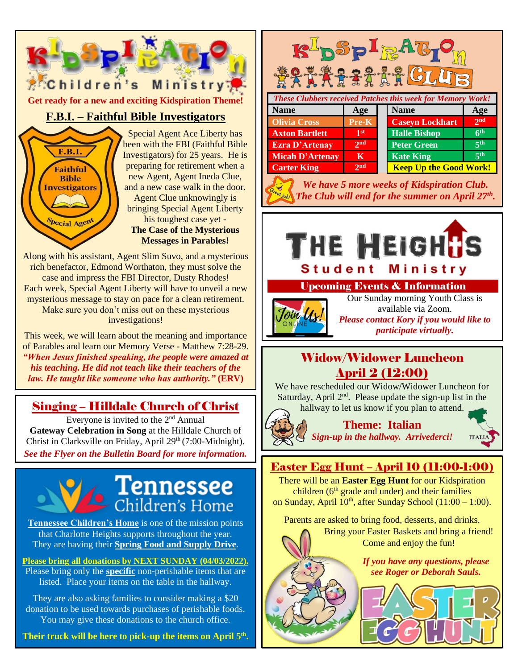

Along with his assistant, Agent Slim Suvo, and a mysterious rich benefactor, Edmond Worthaton, they must solve the case and impress the FBI Director, Dusty Rhodes! Each week, Special Agent Liberty will have to unveil a new mysterious message to stay on pace for a clean retirement. Make sure you don't miss out on these mysterious investigations!

This week, we will learn about the meaning and importance of Parables and learn our Memory Verse - Matthew 7:28-29. *"When Jesus finished speaking, the people were amazed at his teaching. He did not teach like their teachers of the law. He taught like someone who has authority."* **(ERV)**

## Singing – Hilldale Church of Christ

Everyone is invited to the 2<sup>nd</sup> Annual **Gateway Celebration in Song** at the Hilldale Church of Christ in Clarksville on Friday, April 29<sup>th</sup> (7:00-Midnight). *See the Flyer on the Bulletin Board for more information.*



**Tennessee Children's Home** is one of the mission points that Charlotte Heights supports throughout the year. They are having their **Spring Food and Supply Drive**.

**Please bring all donations by NEXT SUNDAY (04/03/2022).**

Please bring only the **specific** non-perishable items that are listed. Place your items on the table in the hallway.

They are also asking families to consider making a \$20 donation to be used towards purchases of perishable foods. You may give these donations to the church office.

**Their truck will be here to pick-up the items on April 5 th .**

| <b>These Clubbers received Patches this week for Memory Work!</b> |                 |  |                               |                 |  |  |  |  |  |
|-------------------------------------------------------------------|-----------------|--|-------------------------------|-----------------|--|--|--|--|--|
| <b>Name</b>                                                       | Age             |  | <b>Name</b>                   | Age             |  |  |  |  |  |
| <b>Olivia Cross</b>                                               | Pre-K           |  | <b>Caseyn Lockhart</b>        | 2 <sub>nd</sub> |  |  |  |  |  |
| <b>Axton Bartlett</b>                                             | 1 <sup>st</sup> |  | <b>Halle Bishop</b>           | 6 <sup>th</sup> |  |  |  |  |  |
| <b>Ezra D'Artenay</b>                                             | 2 <sub>nd</sub> |  | <b>Peter Green</b>            | 5 <sup>th</sup> |  |  |  |  |  |
| <b>Micah D'Artenay</b>                                            | K               |  | <b>Kate King</b>              | 5 <sup>th</sup> |  |  |  |  |  |
| <b>Carter King</b>                                                | 2 <sub>nd</sub> |  | <b>Keep Up the Good Work!</b> |                 |  |  |  |  |  |
|                                                                   |                 |  |                               |                 |  |  |  |  |  |

K<sup>I</sup>nSplattO

*We have 5 more weeks of Kidspiration Club. The Club will end for the summer on April 27th .*



## Upcoming Events & Information



Our Sunday morning Youth Class is available via Zoom. *Please contact Kory if you would like to participate virtually.*

## Widow/Widower Luncheon April 2 (12:00)

We have rescheduled our Widow/Widower Luncheon for Saturday, April 2<sup>nd</sup>. Please update the sign-up list in the hallway to let us know if you plan to attend.



**Theme: Italian** *Sign-up in the hallway. Arrivederci!*



## Easter Egg Hunt – April 10 (11:00-1:00)

There will be an **Easter Egg Hunt** for our Kidspiration children ( $6<sup>th</sup>$  grade and under) and their families on Sunday, April  $10<sup>th</sup>$ , after Sunday School (11:00 – 1:00).

Parents are asked to bring food, desserts, and drinks.



Bring your Easter Baskets and bring a friend! Come and enjoy the fun!

> *If you have any questions, please see Roger or Deborah Sauls.*